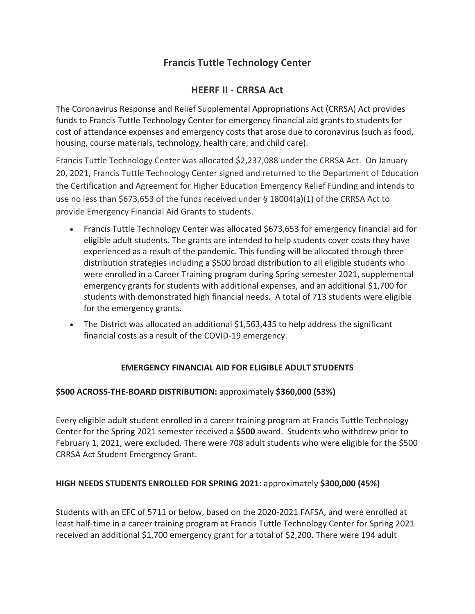# **Francis Tuttle Technology Center**

## **HEERF II - CRRSA Act**

The Coronavirus Response and Relief Supplemental Appropriations Act (CRRSA) Act provides funds to Francis Tuttle Technology Center for emergency financial aid grants to students for cost of attendance expenses and emergency costs that arose due to coronavirus (such as food, housing, course materials, technology, health care, and child care).

Francis Tuttle Technology Center was allocated \$2,237,088 under the CRRSA Act. On January 20, 2021, Francis Tuttle Technology Center signed and returned to the Department of Education the Certification and Agreement for Higher Education Emergency Relief Funding and intends to use no less than \$673,653 of the funds received under § 18004(a)(1) of the CRRSA Act to provide Emergency Financial Aid Grants to students.

- Francis Tuttle Technology Center was allocated \$673,653 for emergency financial aid for eligible adult students. The grants are intended to help students cover costs they have experienced as a result of the pandemic. This funding will be allocated through three distribution strategies including a \$500 broad distribution to all eligible students who were enrolled in a Career Training program during Spring semester 2021, supplemental emergency grants for students with additional expenses, and an additional \$1,700 for students with demonstrated high financial needs. A total of 713 students were eligible for the emergency grants.
- The District was allocated an additional \$1,563,435 to help address the significant financial costs as a result of the COVID-19 emergency.

### **EMERGENCY FINANCIAL AID FOR ELIGIBLE ADULT STUDENTS**

### **\$500 ACROSS-THE-BOARD DISTRIBUTION:** approximately **\$360,000 (53%)**

Every eligible adult student enrolled in a career training program at Francis Tuttle Technology Center for the Spring 2021 semester received a **\$500** award. Students who withdrew prior to February 1, 2021, were excluded. There were 708 adult students who were eligible for the \$500 CRRSA Act Student Emergency Grant.

### **HIGH NEEDS STUDENTS ENROLLED FOR SPRING 2021:** approximately **\$300,000 (45%)**

Students with an EFC of 5711 or below, based on the 2020-2021 FAFSA, and were enrolled at least half-time in a career training program at Francis Tuttle Technology Center for Spring 2021 received an additional \$1,700 emergency grant for a total of \$2,200. There were 194 adult